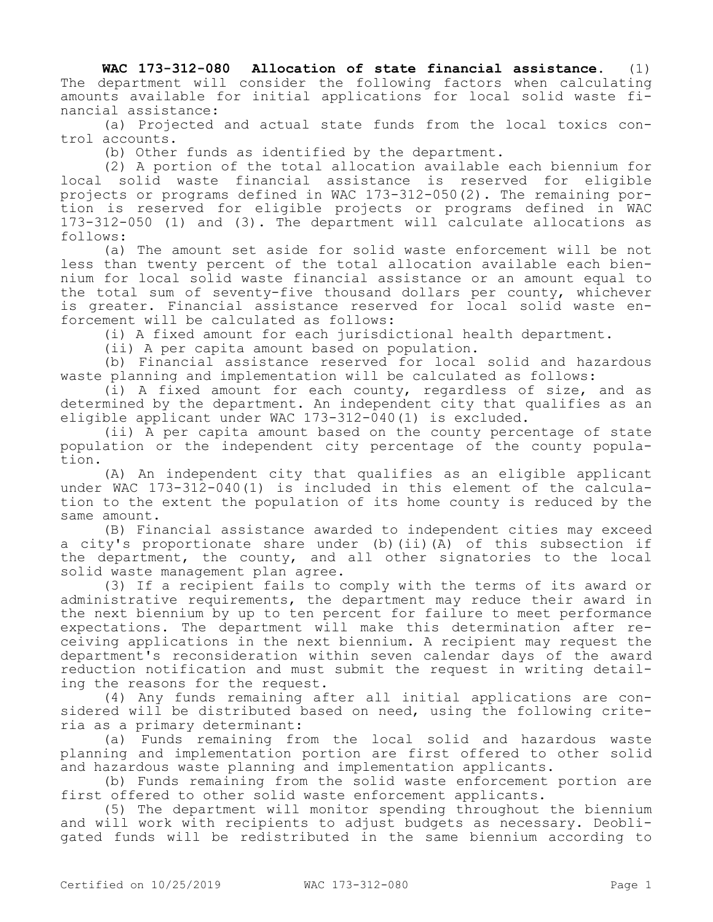**WAC 173-312-080 Allocation of state financial assistance.** (1) The department will consider the following factors when calculating amounts available for initial applications for local solid waste financial assistance:

(a) Projected and actual state funds from the local toxics control accounts.

(b) Other funds as identified by the department.

(2) A portion of the total allocation available each biennium for local solid waste financial assistance is reserved for eligible projects or programs defined in WAC 173-312-050(2). The remaining portion is reserved for eligible projects or programs defined in WAC 173-312-050 (1) and (3). The department will calculate allocations as follows:

(a) The amount set aside for solid waste enforcement will be not less than twenty percent of the total allocation available each biennium for local solid waste financial assistance or an amount equal to the total sum of seventy-five thousand dollars per county, whichever is greater. Financial assistance reserved for local solid waste enforcement will be calculated as follows:

(i) A fixed amount for each jurisdictional health department.

(ii) A per capita amount based on population.

(b) Financial assistance reserved for local solid and hazardous waste planning and implementation will be calculated as follows:

(i) A fixed amount for each county, regardless of size, and as determined by the department. An independent city that qualifies as an eligible applicant under WAC 173-312-040(1) is excluded.

(ii) A per capita amount based on the county percentage of state population or the independent city percentage of the county population.

(A) An independent city that qualifies as an eligible applicant under WAC 173-312-040(1) is included in this element of the calculation to the extent the population of its home county is reduced by the same amount.

(B) Financial assistance awarded to independent cities may exceed a city's proportionate share under (b)(ii)(A) of this subsection if the department, the county, and all other signatories to the local solid waste management plan agree.

(3) If a recipient fails to comply with the terms of its award or administrative requirements, the department may reduce their award in the next biennium by up to ten percent for failure to meet performance expectations. The department will make this determination after receiving applications in the next biennium. A recipient may request the department's reconsideration within seven calendar days of the award reduction notification and must submit the request in writing detailing the reasons for the request.

(4) Any funds remaining after all initial applications are considered will be distributed based on need, using the following criteria as a primary determinant:

(a) Funds remaining from the local solid and hazardous waste planning and implementation portion are first offered to other solid and hazardous waste planning and implementation applicants.

(b) Funds remaining from the solid waste enforcement portion are first offered to other solid waste enforcement applicants.

(5) The department will monitor spending throughout the biennium and will work with recipients to adjust budgets as necessary. Deobligated funds will be redistributed in the same biennium according to